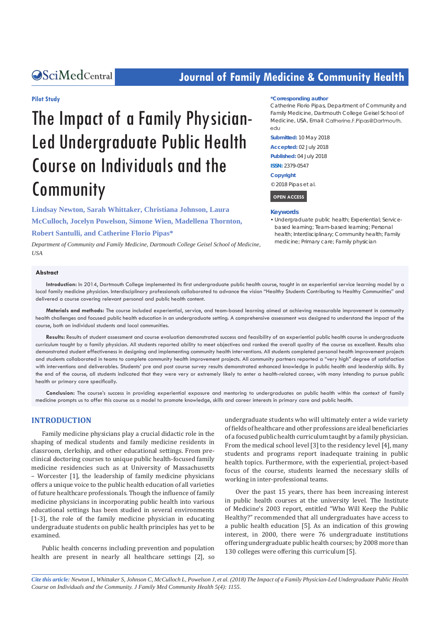## **CALCERT CONFIDENTIAL CONTROLLER COMMUNITY Health**

#### **Pilot Study**

# The Impact of a Family Physician-Led Undergraduate Public Health Course on Individuals and the Community

**Lindsay Newton, Sarah Whittaker, Christiana Johnson, Laura McCulloch, Jocelyn Powelson, Simone Wien, Madellena Thornton, Robert Santulli, and Catherine Florio Pipas\***

*Department of Community and Family Medicine, Dartmouth College Geisel School of Medicine, USA*

#### **\*Corresponding author**

Catherine Florio Pipas, Department of Community and Family Medicine, Dartmouth College Geisel School of Medicine, USA, Email: Catherine, F. Pipas@Dartmouth, edu

**Submitted:** 10 May 2018

**Accepted:** 02 July 2018

**Published:** 04 July 2018

**ISSN:** 2379-0547

**Copyright**

© 2018 Pipas et al.

 **OPEN ACCESS** 

#### **Keywords**

• Undergraduate public health; Experiential; Servicebased learning; Team-based learning; Personal health; Interdisciplinary; Community health; Family medicine; Primary care; Family physician

#### **Abstract**

**Introduction:** In 2014, Dartmouth College implemented its first undergraduate public health course, taught in an experiential service learning model by a local family medicine physician. Interdisciplinary professionals collaborated to advance the vision "Healthy Students Contributing to Healthy Communities" and delivered a course covering relevant personal and public health content.

**Materials and methods:** The course included experiential, service, and team-based learning aimed at achieving measurable improvement in community health challenges and focused public health education in an undergraduate setting. A comprehensive assessment was designed to understand the impact of the course, both on individual students and local communities.

**Results:** Results of student assessment and course evaluation demonstrated success and feasibility of an experiential public health course in undergraduate curriculum taught by a family physician. All students reported ability to meet objectives and ranked the overall quality of the course as excellent. Results also demonstrated student effectiveness in designing and implementing community health interventions. All students completed personal health improvement projects and students collaborated in teams to complete community health improvement projects. All community partners reported a "very high" degree of satisfaction with interventions and deliverables. Students' pre and post course survey results demonstrated enhanced knowledge in public health and leadership skills. By the end of the course, all students indicated that they were very or extremely likely to enter a health-related career, with many intending to pursue public health or primary care specifically.

**Conclusion:** The course's success in providing experiential exposure and mentoring to undergraduates on public health within the context of family medicine prompts us to offer this course as a model to promote knowledge, skills and career interests in primary care and public health.

#### **INTRODUCTION**

Family medicine physicians play a crucial didactic role in the shaping of medical students and family medicine residents in classroom, clerkship, and other educational settings. From preclinical doctoring courses to unique public health-focused family medicine residencies such as at University of Massachusetts – Worcester [1], the leadership of family medicine physicians offers a unique voice to the public health education of all varieties of future healthcare professionals. Though the influence of family medicine physicians in incorporating public health into various educational settings has been studied in several environments [1-3], the role of the family medicine physician in educating undergraduate students on public health principles has yet to be examined.

Public health concerns including prevention and population health are present in nearly all healthcare settings [2], so undergraduate students who will ultimately enter a wide variety of fields of healthcare and other professions are ideal beneficiaries of a focused public health curriculum taught by a family physician. From the medical school level [3] to the residency level [4], many students and programs report inadequate training in public health topics. Furthermore, with the experiential, project-based focus of the course, students learned the necessary skills of working in inter-professional teams.

Over the past 15 years, there has been increasing interest in public health courses at the university level. The Institute of Medicine's 2003 report, entitled "Who Will Keep the Public Healthy?" recommended that all undergraduates have access to a public health education [5]. As an indication of this growing interest, in 2000, there were 76 undergraduate institutions offering undergraduate public health courses; by 2008 more than 130 colleges were offering this curriculum [5].

*Cite this article: Newton L, Whittaker S, Johnson C, McCulloch L, Powelson J, et al. (2018) The Impact of a Family Physician-Led Undergraduate Public Health Course on Individuals and the Community. J Family Med Community Health 5(4): 1155.*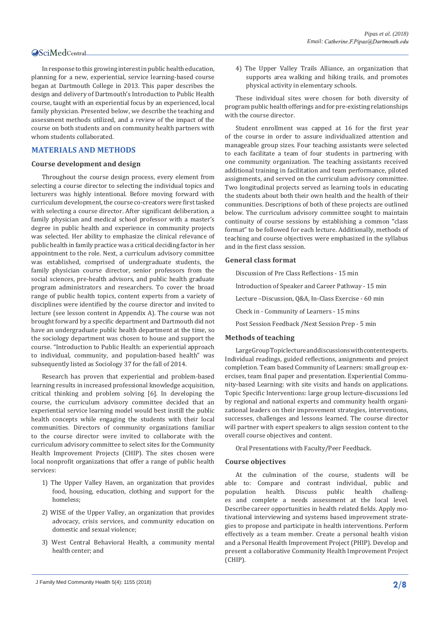In response to this growing interest in public health education, planning for a new, experiential, service learning-based course began at Dartmouth College in 2013. This paper describes the design and delivery of Dartmouth's Introduction to Public Health course, taught with an experiential focus by an experienced, local family physician. Presented below, we describe the teaching and assessment methods utilized, and a review of the impact of the course on both students and on community health partners with whom students collaborated.

#### **MATERIALS AND METHODS**

#### **Course development and design**

Throughout the course design process, every element from selecting a course director to selecting the individual topics and lecturers was highly intentional. Before moving forward with curriculum development, the course co-creators were first tasked with selecting a course director. After significant deliberation, a family physician and medical school professor with a master's degree in public health and experience in community projects was selected. Her ability to emphasize the clinical relevance of public health in family practice was a critical deciding factor in her appointment to the role. Next, a curriculum advisory committee was established, comprised of undergraduate students, the family physician course director, senior professors from the social sciences, pre-health advisors, and public health graduate program administrators and researchers. To cover the broad range of public health topics, content experts from a variety of disciplines were identified by the course director and invited to lecture (see lesson content in Appendix A). The course was not brought forward by a specific department and Dartmouth did not have an undergraduate public health department at the time, so the sociology department was chosen to house and support the course. "Introduction to Public Health: an experiential approach to individual, community, and population-based health" was subsequently listed as Sociology 37 for the fall of 2014.

Research has proven that experiential and problem-based learning results in increased professional knowledge acquisition, critical thinking and problem solving [6]. In developing the course, the curriculum advisory committee decided that an experiential service learning model would best instill the public health concepts while engaging the students with their local communities. Directors of community organizations familiar to the course director were invited to collaborate with the curriculum advisory committee to select sites for the Community Health Improvement Projects (CHIP). The sites chosen were local nonprofit organizations that offer a range of public health services:

- 1) The Upper Valley Haven, an organization that provides food, housing, education, clothing and support for the homeless;
- 2) WISE of the Upper Valley, an organization that provides advocacy, crisis services, and community education on domestic and sexual violence;
- 3) West Central Behavioral Health, a community mental health center; and

4) The Upper Valley Trails Alliance, an organization that supports area walking and hiking trails, and promotes physical activity in elementary schools.

These individual sites were chosen for both diversity of program public health offerings and for pre-existing relationships with the course director.

Student enrollment was capped at 16 for the first year of the course in order to assure individualized attention and manageable group sizes. Four teaching assistants were selected to each facilitate a team of four students in partnering with one community organization. The teaching assistants received additional training in facilitation and team performance, piloted assignments, and served on the curriculum advisory committee. Two longitudinal projects served as learning tools in educating the students about both their own health and the health of their communities. Descriptions of both of these projects are outlined below. The curriculum advisory committee sought to maintain continuity of course sessions by establishing a common "class format" to be followed for each lecture. Additionally, methods of teaching and course objectives were emphasized in the syllabus and in the first class session.

#### **General class format**

Discussion of Pre Class Reflections - 15 min Introduction of Speaker and Career Pathway - 15 min Lecture –Discussion, Q&A, In-Class Exercise - 60 min Check in - Community of Learners - 15 mins Post Session Feedback /Next Session Prep - 5 min

#### **Methods of teaching**

Large Group Topic lecture and discussions with content experts. Individual readings, guided reflections, assignments and project completion. Team based Community of Learners: small group exercises, team final paper and presentation. Experiential Community-based Learning: with site visits and hands on applications. Topic Specific Interventions: large group lecture-discussions led by regional and national experts and community health organizational leaders on their improvement strategies, interventions, successes, challenges and lessons learned. The course director will partner with expert speakers to align session content to the overall course objectives and content.

Oral Presentations with Faculty/Peer Feedback.

#### **Course objectives**

At the culmination of the course, students will be able to: Compare and contrast individual, public and population health. Discuss public health challengpopulation es and complete a needs assessment at the local level. Describe career opportunities in health related fields. Apply motivational interviewing and systems based improvement strategies to propose and participate in health interventions. Perform effectively as a team member. Create a personal health vision and a Personal Health Improvement Project (PHIP). Develop and present a collaborative Community Health Improvement Project (CHIP).

J Family Med Community Health 5(4): 1155 (2018) **2/8**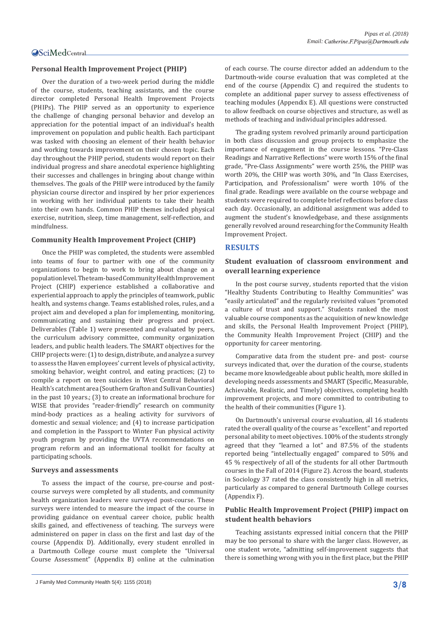#### **Personal Health Improvement Project (PHIP)**

Over the duration of a two-week period during the middle of the course, students, teaching assistants, and the course director completed Personal Health Improvement Projects (PHIPs). The PHIP served as an opportunity to experience the challenge of changing personal behavior and develop an appreciation for the potential impact of an individual's health improvement on population and public health. Each participant was tasked with choosing an element of their health behavior and working towards improvement on their chosen topic. Each day throughout the PHIP period, students would report on their individual progress and share anecdotal experience highlighting their successes and challenges in bringing about change within themselves. The goals of the PHIP were introduced by the family physician course director and inspired by her prior experiences in working with her individual patients to take their health into their own hands. Common PHIP themes included physical exercise, nutrition, sleep, time management, self-reflection, and mindfulness.

#### **Community Health Improvement Project (CHIP)**

Once the PHIP was completed, the students were assembled into teams of four to partner with one of the community organizations to begin to work to bring about change on a population level. The team-based Community Health Improvement Project (CHIP) experience established a collaborative and experiential approach to apply the principles of teamwork, public health, and systems change. Teams established roles, rules, and a project aim and developed a plan for implementing, monitoring, communicating and sustaining their progress and project. Deliverables (Table 1) were presented and evaluated by peers, the curriculum advisory committee, community organization leaders, and public health leaders. The SMART objectives for the CHIP projects were: (1) to design, distribute, and analyze a survey to assess the Haven employees' current levels of physical activity, smoking behavior, weight control, and eating practices; (2) to compile a report on teen suicides in West Central Behavioral Health's catchment area (Southern Grafton and Sullivan Counties) in the past 10 years.; (3) to create an informational brochure for WISE that provides "reader-friendly" research on community mind-body practices as a healing activity for survivors of domestic and sexual violence; and (4) to increase participation and completion in the Passport to Winter Fun physical activity youth program by providing the UVTA recommendations on program reform and an informational toolkit for faculty at participating schools.

#### **Surveys and assessments**

To assess the impact of the course, pre-course and postcourse surveys were completed by all students, and community health organization leaders were surveyed post-course. These surveys were intended to measure the impact of the course in providing guidance on eventual career choice, public health skills gained, and effectiveness of teaching. The surveys were administered on paper in class on the first and last day of the course (Appendix D). Additionally, every student enrolled in a Dartmouth College course must complete the "Universal Course Assessment" (Appendix B) online at the culmination of each course. The course director added an addendum to the Dartmouth-wide course evaluation that was completed at the end of the course (Appendix C) and required the students to complete an additional paper survey to assess effectiveness of teaching modules (Appendix E). All questions were constructed to allow feedback on course objectives and structure, as well as methods of teaching and individual principles addressed.

The grading system revolved primarily around participation in both class discussion and group projects to emphasize the importance of engagement in the course lessons. "Pre-Class Readings and Narrative Reflections" were worth 15% of the final grade, "Pre-Class Assignments" were worth 25%, the PHIP was worth 20%, the CHIP was worth 30%, and "In Class Exercises, Participation, and Professionalism" were worth 10% of the final grade. Readings were available on the course webpage and students were required to complete brief reflections before class each day. Occasionally, an additional assignment was added to augment the student's knowledgebase, and these assignments generally revolved around researching for the Community Health Improvement Project.

#### **RESULTS**

#### **Student evaluation of classroom environment and overall learning experience**

In the post course survey, students reported that the vision "Healthy Students Contributing to Healthy Communities" was "easily articulated" and the regularly revisited values "promoted a culture of trust and support." Students ranked the most valuable course components as the acquisition of new knowledge and skills, the Personal Health Improvement Project (PHIP), the Community Health Improvement Project (CHIP) and the opportunity for career mentoring.

Comparative data from the student pre- and post- course surveys indicated that, over the duration of the course, students became more knowledgeable about public health, more skilled in developing needs assessments and SMART (Specific, Measurable, Achievable, Realistic, and Timely) objectives, completing health improvement projects, and more committed to contributing to the health of their communities (Figure 1).

On Dartmouth's universal course evaluation, all 16 students rated the overall quality of the course as "excellent" and reported personal ability to meet objectives. 100% of the students strongly agreed that they "learned a lot" and 87.5% of the students reported being "intellectually engaged" compared to 50% and 45 % respectively of all of the students for all other Dartmouth courses in the Fall of 2014 (Figure 2). Across the board, students in Sociology 37 rated the class consistently high in all metrics, particularly as compared to general Dartmouth College courses (Appendix F).

#### **Public Health Improvement Project (PHIP) impact on student health behaviors**

Teaching assistants expressed initial concern that the PHIP may be too personal to share with the larger class. However, as one student wrote, "admitting self-improvement suggests that there is something wrong with you in the first place, but the PHIP

J Family Med Community Health 5(4): 1155 (2018) **3/8**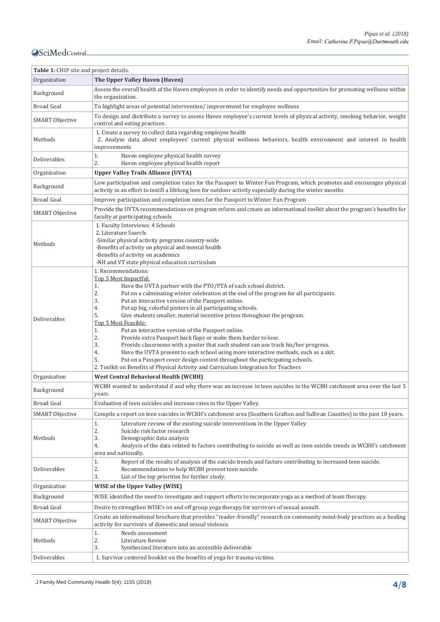| Table 1: CHIP site and project details. |                                                                                                                                                                                                                                                                                                                                                                                                                                                                                                                                                                                                                                                                                                                                                                                                                                                                                                                                                                             |
|-----------------------------------------|-----------------------------------------------------------------------------------------------------------------------------------------------------------------------------------------------------------------------------------------------------------------------------------------------------------------------------------------------------------------------------------------------------------------------------------------------------------------------------------------------------------------------------------------------------------------------------------------------------------------------------------------------------------------------------------------------------------------------------------------------------------------------------------------------------------------------------------------------------------------------------------------------------------------------------------------------------------------------------|
| Organization                            | The Upper Valley Haven (Haven)                                                                                                                                                                                                                                                                                                                                                                                                                                                                                                                                                                                                                                                                                                                                                                                                                                                                                                                                              |
| Background                              | Assess the overall health of the Haven employees in order to identify needs and opportunities for promoting wellness within<br>the organization.                                                                                                                                                                                                                                                                                                                                                                                                                                                                                                                                                                                                                                                                                                                                                                                                                            |
| <b>Broad Goal</b>                       | To highlight areas of potential intervention/improvement for employee wellness                                                                                                                                                                                                                                                                                                                                                                                                                                                                                                                                                                                                                                                                                                                                                                                                                                                                                              |
| <b>SMART Objective</b>                  | To design and distribute a survey to assess Haven employee's current levels of physical activity, smoking behavior, weight<br>control and eating practices.                                                                                                                                                                                                                                                                                                                                                                                                                                                                                                                                                                                                                                                                                                                                                                                                                 |
| Methods                                 | 1. Create a survey to collect data regarding employee health<br>2. Analyze data about employees' current physical wellness behaviors, health environment and interest in health<br>improvements                                                                                                                                                                                                                                                                                                                                                                                                                                                                                                                                                                                                                                                                                                                                                                             |
| Deliverables                            | Haven employee physical health survey<br>1.<br>2.<br>Haven employee physical health report                                                                                                                                                                                                                                                                                                                                                                                                                                                                                                                                                                                                                                                                                                                                                                                                                                                                                  |
| Organization                            | <b>Upper Valley Trails Alliance (UVTA)</b>                                                                                                                                                                                                                                                                                                                                                                                                                                                                                                                                                                                                                                                                                                                                                                                                                                                                                                                                  |
| Background                              | Low participation and completion rates for the Passport to Winter Fun Program, which promotes and encourages physical<br>activity in an effort to instill a lifelong love for outdoor activity especially during the winter months                                                                                                                                                                                                                                                                                                                                                                                                                                                                                                                                                                                                                                                                                                                                          |
| <b>Broad Goal</b>                       | Improve participation and completion rates for the Passport to Winter Fun Program                                                                                                                                                                                                                                                                                                                                                                                                                                                                                                                                                                                                                                                                                                                                                                                                                                                                                           |
| <b>SMART Objective</b>                  | Provide the UVTA recommendations on program reform and create an informational toolkit about the program's benefits for<br>faculty at participating schools                                                                                                                                                                                                                                                                                                                                                                                                                                                                                                                                                                                                                                                                                                                                                                                                                 |
| Methods                                 | 1. Faculty Interviews: 4 Schools<br>2. Literature Search:<br>-Similar physical activity programs country-wide<br>-Benefits of activity on physical and mental health<br>-Benefits of activity on academics<br>-NH and VT state physical education curriculum                                                                                                                                                                                                                                                                                                                                                                                                                                                                                                                                                                                                                                                                                                                |
| Deliverables                            | 1. Recommendations:<br>Top 5 Most Impactful:<br>1.<br>Have the UVTA partner with the PTO/PTA of each school district.<br>2.<br>Put on a culminating winter celebration at the end of the program for all participants.<br>3.<br>Put an interactive version of the Passport online.<br>4.<br>Put up big, colorful posters in all participating schools.<br>5.<br>Give students smaller, material incentive prizes throughout the program.<br>Top 5 Most Feasible:<br>Put an interactive version of the Passport online.<br>1.<br>2.<br>Provide extra Passport back flaps or make them harder to lose.<br>3.<br>Provide classrooms with a poster that each student can use track his/her progress.<br>4.<br>Have the UVTA present to each school using more interactive methods, such as a skit.<br>5.<br>Put on a Passport cover design contest throughout the participating schools.<br>2. Toolkit on Benefits of Physical Activity and Curriculum Integration for Teachers |
| Organization                            | <b>West Central Behavioral Health (WCBH)</b>                                                                                                                                                                                                                                                                                                                                                                                                                                                                                                                                                                                                                                                                                                                                                                                                                                                                                                                                |
| Background                              | WCBH wanted to understand if and why there was an increase in teen suicides in the WCBH catchment area over the last 5<br>years.                                                                                                                                                                                                                                                                                                                                                                                                                                                                                                                                                                                                                                                                                                                                                                                                                                            |
| <b>Broad Goal</b>                       | Evaluation of teen suicides and increase rates in the Upper Valley.                                                                                                                                                                                                                                                                                                                                                                                                                                                                                                                                                                                                                                                                                                                                                                                                                                                                                                         |
| <b>SMART Objective</b>                  | Compile a report on teen suicides in WCBH's catchment area (Southern Grafton and Sullivan Counties) in the past 10 years.                                                                                                                                                                                                                                                                                                                                                                                                                                                                                                                                                                                                                                                                                                                                                                                                                                                   |
| Methods                                 | Literature review of the existing suicide interventions in the Upper Valley<br>1.<br>2.<br>Suicide risk factor research<br>3.<br>Demographic data analysis<br>4.<br>Analysis of the data related to factors contributing to suicide as well as teen suicide trends in WCBH's catchment<br>area and nationally.                                                                                                                                                                                                                                                                                                                                                                                                                                                                                                                                                                                                                                                              |
| Deliverables                            | 1.<br>Report of the results of analysis of the suicide trends and factors contributing to increased teen suicide.<br>2.<br>Recommendations to help WCBH prevent teen suicide.<br>3.<br>List of the top priorities for further study.                                                                                                                                                                                                                                                                                                                                                                                                                                                                                                                                                                                                                                                                                                                                        |
| Organization                            | <b>WISE of the Upper Valley (WISE)</b>                                                                                                                                                                                                                                                                                                                                                                                                                                                                                                                                                                                                                                                                                                                                                                                                                                                                                                                                      |
| Background                              | WISE identified the need to investigate and support efforts to incorporate yoga as a method of team therapy.                                                                                                                                                                                                                                                                                                                                                                                                                                                                                                                                                                                                                                                                                                                                                                                                                                                                |
| <b>Broad Goal</b>                       | Desire to strengthen WISE's on and off group yoga therapy for survivors of sexual assault.                                                                                                                                                                                                                                                                                                                                                                                                                                                                                                                                                                                                                                                                                                                                                                                                                                                                                  |
| SMART Objective                         | Create an informational brochure that provides "reader-friendly" research on community mind-body practices as a healing<br>activity for survivors of domestic and sexual violence.                                                                                                                                                                                                                                                                                                                                                                                                                                                                                                                                                                                                                                                                                                                                                                                          |
| Methods                                 | Needs assessment<br>1.<br>2.<br>Literature Review<br>3.<br>Synthesized literature into an accessible deliverable                                                                                                                                                                                                                                                                                                                                                                                                                                                                                                                                                                                                                                                                                                                                                                                                                                                            |
| Deliverables                            | 1. Survivor centered booklet on the benefits of yoga for trauma victims.                                                                                                                                                                                                                                                                                                                                                                                                                                                                                                                                                                                                                                                                                                                                                                                                                                                                                                    |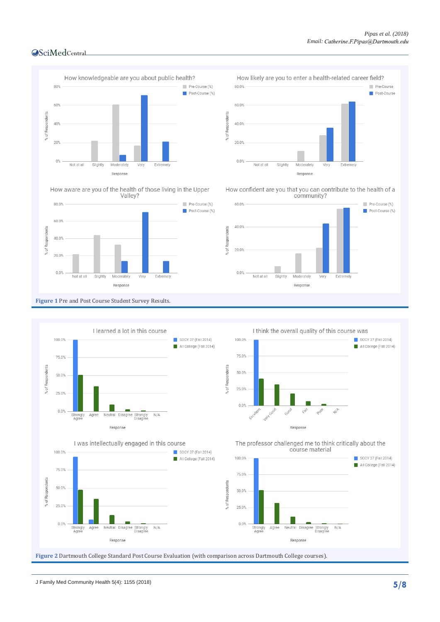

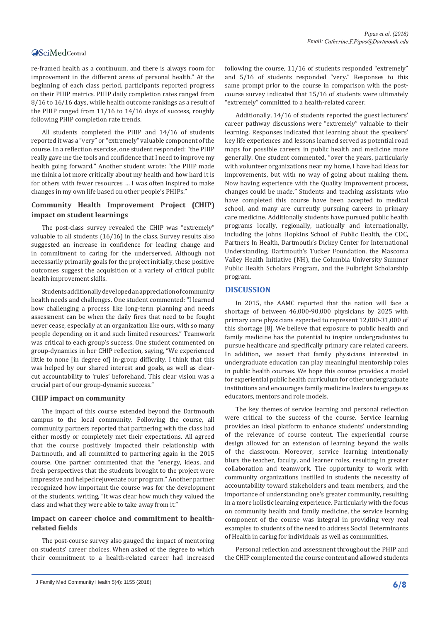re-framed health as a continuum, and there is always room for improvement in the different areas of personal health." At the beginning of each class period, participants reported progress on their PHIP metrics. PHIP daily completion rates ranged from 8/16 to 16/16 days, while health outcome rankings as a result of the PHIP ranged from 11/16 to 14/16 days of success, roughly following PHIP completion rate trends.

All students completed the PHIP and 14/16 of students reported it was a "very" or "extremely" valuable component of the course. In a reflection exercise, one student responded: "the PHIP really gave me the tools and confidence that I need to improve my health going forward." Another student wrote: "the PHIP made me think a lot more critically about my health and how hard it is for others with fewer resources … I was often inspired to make changes in my own life based on other people's PHIPs."

#### **Community Health Improvement Project (CHIP) impact on student learnings**

The post-class survey revealed the CHIP was "extremely" valuable to all students (16/16) in the class. Survey results also suggested an increase in confidence for leading change and in commitment to caring for the underserved. Although not necessarily primarily goals for the project initially, these positive outcomes suggest the acquisition of a variety of critical public health improvement skills.

Students additionally developed an appreciation of community health needs and challenges. One student commented: "I learned how challenging a process like long-term planning and needs assessment can be when the daily fires that need to be fought never cease, especially at an organization like ours, with so many people depending on it and such limited resources." Teamwork was critical to each group's success. One student commented on group-dynamics in her CHIP reflection, saying, "We experienced little to none [in degree of] in-group difficulty. I think that this was helped by our shared interest and goals, as well as clearcut accountability to 'rules' beforehand. This clear vision was a crucial part of our group-dynamic success."

#### **CHIP impact on community**

The impact of this course extended beyond the Dartmouth campus to the local community. Following the course, all community partners reported that partnering with the class had either mostly or completely met their expectations. All agreed that the course positively impacted their relationship with Dartmouth, and all committed to partnering again in the 2015 course. One partner commented that the "energy, ideas, and fresh perspectives that the students brought to the project were impressive and helped rejuvenate our program." Another partner recognized how important the course was for the development of the students, writing, "it was clear how much they valued the class and what they were able to take away from it."

#### **Impact on career choice and commitment to healthrelated fields**

The post-course survey also gauged the impact of mentoring on students' career choices. When asked of the degree to which their commitment to a health-related career had increased

following the course, 11/16 of students responded "extremely" and 5/16 of students responded "very." Responses to this same prompt prior to the course in comparison with the postcourse survey indicated that 15/16 of students were ultimately "extremely" committed to a health-related career.

Additionally, 14/16 of students reported the guest lecturers' career pathway discussions were "extremely" valuable to their learning. Responses indicated that learning about the speakers' key life experiences and lessons learned served as potential road maps for possible careers in public health and medicine more generally. One student commented, "over the years, particularly with volunteer organizations near my home, I have had ideas for improvements, but with no way of going about making them. Now having experience with the Quality Improvement process, changes could be made." Students and teaching assistants who have completed this course have been accepted to medical school, and many are currently pursuing careers in primary care medicine. Additionally students have pursued public health programs locally, regionally, nationally and internationally, including the Johns Hopkins School of Public Health, the CDC, Partners In Health, Dartmouth's Dickey Center for International Understanding, Dartmouth's Tucker Foundation, the Mascoma Valley Health Initiative (NH), the Columbia University Summer Public Health Scholars Program, and the Fulbright Scholarship program.

#### **DISCUSSION**

In 2015, the AAMC reported that the nation will face a shortage of between 46,000-90,000 physicians by 2025 with primary care physicians expected to represent 12,000-31,000 of this shortage [8]. We believe that exposure to public health and family medicine has the potential to inspire undergraduates to pursue healthcare and specifically primary care related careers. In addition, we assert that family physicians interested in undergraduate education can play meaningful mentorship roles in public health courses. We hope this course provides a model for experiential public health curriculum for other undergraduate institutions and encourages family medicine leaders to engage as educators, mentors and role models.

The key themes of service learning and personal reflection were critical to the success of the course. Service learning provides an ideal platform to enhance students' understanding of the relevance of course content. The experiential course design allowed for an extension of learning beyond the walls of the classroom. Moreover, service learning intentionally blurs the teacher, faculty, and learner roles, resulting in greater collaboration and teamwork. The opportunity to work with community organizations instilled in students the necessity of accountability toward stakeholders and team members, and the importance of understanding one's greater community, resulting in a more holistic learning experience. Particularly with the focus on community health and family medicine, the service learning component of the course was integral in providing very real examples to students of the need to address Social Determinants of Health in caring for individuals as well as communities.

Personal reflection and assessment throughout the PHIP and the CHIP complemented the course content and allowed students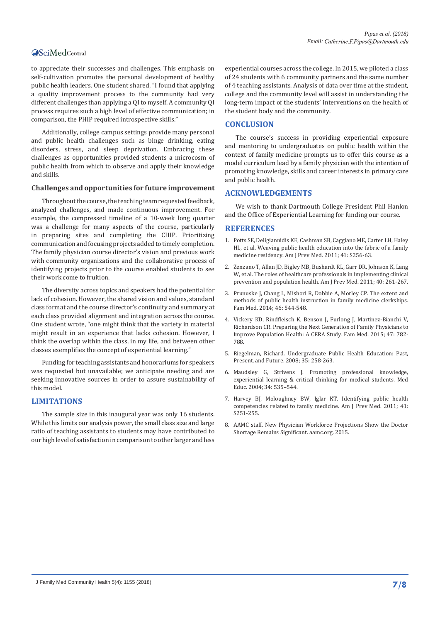to appreciate their successes and challenges. This emphasis on self-cultivation promotes the personal development of healthy public health leaders. One student shared, "I found that applying a quality improvement process to the community had very different challenges than applying a QI to myself. A community QI process requires such a high level of effective communication; in comparison, the PHIP required introspective skills."

Additionally, college campus settings provide many personal and public health challenges such as binge drinking, eating disorders, stress, and sleep deprivation. Embracing these challenges as opportunities provided students a microcosm of public health from which to observe and apply their knowledge and skills.

#### **Challenges and opportunities for future improvement**

Throughout the course, the teaching team requested feedback, analyzed challenges, and made continuous improvement. For example, the compressed timeline of a 10-week long quarter was a challenge for many aspects of the course, particularly in preparing sites and completing the CHIP. Prioritizing communication and focusing projects added to timely completion. The family physician course director's vision and previous work with community organizations and the collaborative process of identifying projects prior to the course enabled students to see their work come to fruition.

The diversity across topics and speakers had the potential for lack of cohesion. However, the shared vision and values, standard class format and the course director's continuity and summary at each class provided alignment and integration across the course. One student wrote, "one might think that the variety in material might result in an experience that lacks cohesion. However, I think the overlap within the class, in my life, and between other classes exemplifies the concept of experiential learning."

Funding for teaching assistants and honorariums for speakers was requested but unavailable; we anticipate needing and are seeking innovative sources in order to assure sustainability of this model.

#### **LIMITATIONS**

The sample size in this inaugural year was only 16 students. While this limits our analysis power, the small class size and large ratio of teaching assistants to students may have contributed to our high level of satisfaction in comparison to other larger and less

experiential courses across the college. In 2015, we piloted a class of 24 students with 6 community partners and the same number of 4 teaching assistants. Analysis of data over time at the student, college and the community level will assist in understanding the long-term impact of the students' interventions on the health of the student body and the community.

#### **CONCLUSION**

The course's success in providing experiential exposure and mentoring to undergraduates on public health within the context of family medicine prompts us to offer this course as a model curriculum lead by a family physician with the intention of promoting knowledge, skills and career interests in primary care and public health.

#### **ACKNOWLEDGEMENTS**

We wish to thank Dartmouth College President Phil Hanlon and the Office of Experiential Learning for funding our course.

#### **REFERENCES**

- 1. [Potts SE, Deligiannidis KE, Cashman SB, Caggiano ME, Carter LH, Haley](https://www.ncbi.nlm.nih.gov/pubmed/21961673)  [HL, et al. Weaving public health education into the fabric of a family](https://www.ncbi.nlm.nih.gov/pubmed/21961673)  [medicine residency. Am J Prev Med. 2011; 41: S256-63.](https://www.ncbi.nlm.nih.gov/pubmed/21961673)
- 2. [Zenzano T, Allan JD, Bigley MB, Bushardt RL, Garr DR, Johnson K, Lang](https://www.ncbi.nlm.nih.gov/pubmed/21238876)  [W, et al. The roles of healthcare professionals in implementing clinical](https://www.ncbi.nlm.nih.gov/pubmed/21238876)  [prevention and population health. Am J Prev Med. 2011; 40: 261-267.](https://www.ncbi.nlm.nih.gov/pubmed/21238876)
- 3. [Prunuske J, Chang L, Mishori R, Dobbie A, Morley CP. The extent and](https://www.ncbi.nlm.nih.gov/pubmed/25058549)  [methods of public health instruction in family medicine clerkships.](https://www.ncbi.nlm.nih.gov/pubmed/25058549)  [Fam Med. 2014; 46: 544-548.](https://www.ncbi.nlm.nih.gov/pubmed/25058549)
- 4. [Vickery KD, Rindfleisch K, Benson J, Furlong J, Martinez-Bianchi V,](https://www.ncbi.nlm.nih.gov/pubmed/26545055)  [Richardson CR. Preparing the Next Generation of Family Physicians to](https://www.ncbi.nlm.nih.gov/pubmed/26545055)  [Improve Population Health: A CERA Study. Fam Med. 2015; 47: 782-](https://www.ncbi.nlm.nih.gov/pubmed/26545055) [788.](https://www.ncbi.nlm.nih.gov/pubmed/26545055)
- 5. [Riegelman, Richard. Undergraduate Public Health Education: Past,](http://www.sciencedirect.com/science/article/pii/S0749379708005102)  [Present, and Future. 2008; 35: 258-263.](http://www.sciencedirect.com/science/article/pii/S0749379708005102)
- 6. [Maudsley G, Strivens J. Promoting professional knowledge,](https://www.ncbi.nlm.nih.gov/pubmed/10886636)  [experiential learning & critical thinking for medical students. Med](https://www.ncbi.nlm.nih.gov/pubmed/10886636)  [Educ. 2004; 34: 535–544.](https://www.ncbi.nlm.nih.gov/pubmed/10886636)
- 7. [Harvey BJ, Moloughney BW, Iglar KT. Identifying public health](https://www.ncbi.nlm.nih.gov/pubmed/21961672)  [competencies related to family medicine. Am J Prev Med. 2011; 41:](https://www.ncbi.nlm.nih.gov/pubmed/21961672)  [S251-255.](https://www.ncbi.nlm.nih.gov/pubmed/21961672)
- 8. [AAMC staff. New Physician Workforce Projections Show the Doctor](https://www.aamc.org/newsroom/newsreleases/426166/20150303.html)  [Shortage Remains Significant. aamc.org. 2015.](https://www.aamc.org/newsroom/newsreleases/426166/20150303.html)